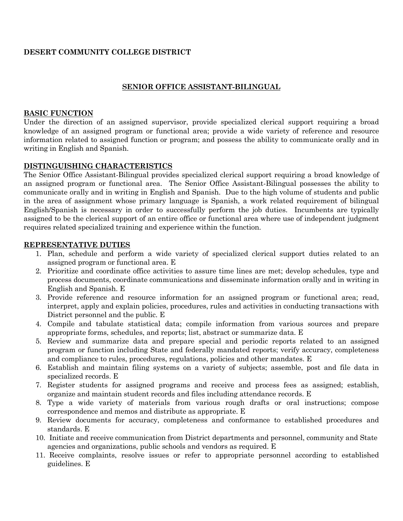# **DESERT COMMUNITY COLLEGE DISTRICT**

## **SENIOR OFFICE ASSISTANT-BILINGUAL**

#### **BASIC FUNCTION**

Under the direction of an assigned supervisor, provide specialized clerical support requiring a broad knowledge of an assigned program or functional area; provide a wide variety of reference and resource information related to assigned function or program; and possess the ability to communicate orally and in writing in English and Spanish.

#### **DISTINGUISHING CHARACTERISTICS**

The Senior Office Assistant-Bilingual provides specialized clerical support requiring a broad knowledge of an assigned program or functional area. The Senior Office Assistant-Bilingual possesses the ability to communicate orally and in writing in English and Spanish. Due to the high volume of students and public in the area of assignment whose primary language is Spanish, a work related requirement of bilingual English/Spanish is necessary in order to successfully perform the job duties. Incumbents are typically assigned to be the clerical support of an entire office or functional area where use of independent judgment requires related specialized training and experience within the function.

#### **REPRESENTATIVE DUTIES**

- 1. Plan, schedule and perform a wide variety of specialized clerical support duties related to an assigned program or functional area. E
- 2. Prioritize and coordinate office activities to assure time lines are met; develop schedules, type and process documents, coordinate communications and disseminate information orally and in writing in English and Spanish. E
- 3. Provide reference and resource information for an assigned program or functional area; read, interpret, apply and explain policies, procedures, rules and activities in conducting transactions with District personnel and the public. E
- 4. Compile and tabulate statistical data; compile information from various sources and prepare appropriate forms, schedules, and reports; list, abstract or summarize data. E
- 5. Review and summarize data and prepare special and periodic reports related to an assigned program or function including State and federally mandated reports; verify accuracy, completeness and compliance to rules, procedures, regulations, policies and other mandates. E
- 6. Establish and maintain filing systems on a variety of subjects; assemble, post and file data in specialized records. E
- 7. Register students for assigned programs and receive and process fees as assigned; establish, organize and maintain student records and files including attendance records. E
- 8. Type a wide variety of materials from various rough drafts or oral instructions; compose correspondence and memos and distribute as appropriate. E
- 9. Review documents for accuracy, completeness and conformance to established procedures and standards. E
- 10. Initiate and receive communication from District departments and personnel, community and State agencies and organizations, public schools and vendors as required. E
- 11. Receive complaints, resolve issues or refer to appropriate personnel according to established guidelines. E